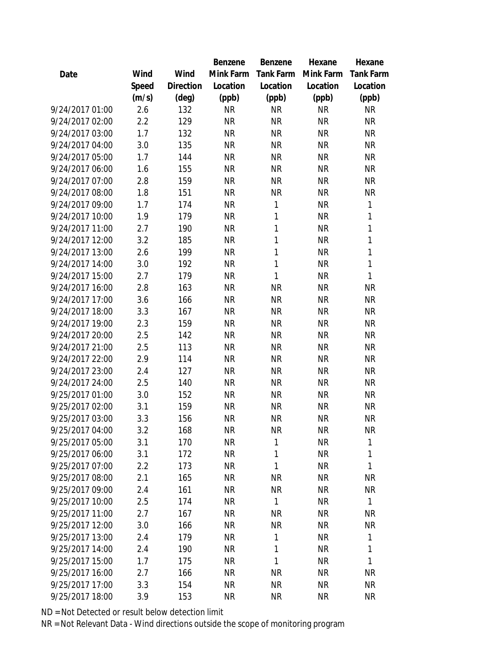|                 |       |                | Benzene   | Benzene      | Hexane    | Hexane           |
|-----------------|-------|----------------|-----------|--------------|-----------|------------------|
| Date            | Wind  | Wind           | Mink Farm | Tank Farm    | Mink Farm | <b>Tank Farm</b> |
|                 | Speed | Direction      | Location  | Location     | Location  | Location         |
|                 | (m/s) | $(\text{deg})$ | (ppb)     | (ppb)        | (ppb)     | (ppb)            |
| 9/24/2017 01:00 | 2.6   | 132            | <b>NR</b> | <b>NR</b>    | <b>NR</b> | <b>NR</b>        |
| 9/24/2017 02:00 | 2.2   | 129            | <b>NR</b> | <b>NR</b>    | <b>NR</b> | <b>NR</b>        |
| 9/24/2017 03:00 | 1.7   | 132            | <b>NR</b> | <b>NR</b>    | <b>NR</b> | <b>NR</b>        |
| 9/24/2017 04:00 | 3.0   | 135            | <b>NR</b> | <b>NR</b>    | <b>NR</b> | <b>NR</b>        |
| 9/24/2017 05:00 | 1.7   | 144            | <b>NR</b> | <b>NR</b>    | <b>NR</b> | <b>NR</b>        |
| 9/24/2017 06:00 | 1.6   | 155            | <b>NR</b> | <b>NR</b>    | <b>NR</b> | <b>NR</b>        |
| 9/24/2017 07:00 | 2.8   | 159            | <b>NR</b> | <b>NR</b>    | <b>NR</b> | <b>NR</b>        |
| 9/24/2017 08:00 | 1.8   | 151            | <b>NR</b> | <b>NR</b>    | <b>NR</b> | <b>NR</b>        |
| 9/24/2017 09:00 | 1.7   | 174            | <b>NR</b> | $\mathbf{1}$ | <b>NR</b> | 1                |
| 9/24/2017 10:00 | 1.9   | 179            | <b>NR</b> | 1            | <b>NR</b> | $\mathbf{1}$     |
| 9/24/2017 11:00 | 2.7   | 190            | <b>NR</b> | 1            | <b>NR</b> | $\mathbf{1}$     |
| 9/24/2017 12:00 | 3.2   | 185            | <b>NR</b> | 1            | <b>NR</b> | $\mathbf{1}$     |
| 9/24/2017 13:00 | 2.6   | 199            | <b>NR</b> | 1            | <b>NR</b> | $\mathbf{1}$     |
| 9/24/2017 14:00 | 3.0   | 192            | <b>NR</b> | 1            | <b>NR</b> | $\mathbf{1}$     |
| 9/24/2017 15:00 | 2.7   | 179            | <b>NR</b> | 1            | <b>NR</b> | 1                |
| 9/24/2017 16:00 | 2.8   | 163            | <b>NR</b> | <b>NR</b>    | <b>NR</b> | <b>NR</b>        |
| 9/24/2017 17:00 | 3.6   | 166            | <b>NR</b> | <b>NR</b>    | <b>NR</b> | <b>NR</b>        |
| 9/24/2017 18:00 | 3.3   | 167            | <b>NR</b> | <b>NR</b>    | <b>NR</b> | <b>NR</b>        |
| 9/24/2017 19:00 | 2.3   | 159            | <b>NR</b> | <b>NR</b>    | <b>NR</b> | <b>NR</b>        |
| 9/24/2017 20:00 | 2.5   | 142            | <b>NR</b> | <b>NR</b>    | <b>NR</b> | <b>NR</b>        |
| 9/24/2017 21:00 | 2.5   | 113            | <b>NR</b> | <b>NR</b>    | <b>NR</b> | <b>NR</b>        |
| 9/24/2017 22:00 | 2.9   | 114            | <b>NR</b> | <b>NR</b>    | <b>NR</b> | <b>NR</b>        |
| 9/24/2017 23:00 | 2.4   | 127            | <b>NR</b> | <b>NR</b>    | <b>NR</b> | <b>NR</b>        |
| 9/24/2017 24:00 | 2.5   | 140            | <b>NR</b> | <b>NR</b>    | <b>NR</b> | <b>NR</b>        |
| 9/25/2017 01:00 | 3.0   | 152            | <b>NR</b> | <b>NR</b>    | <b>NR</b> | <b>NR</b>        |
| 9/25/2017 02:00 | 3.1   | 159            | <b>NR</b> | <b>NR</b>    | <b>NR</b> | <b>NR</b>        |
| 9/25/2017 03:00 | 3.3   | 156            | <b>NR</b> | <b>NR</b>    | <b>NR</b> | <b>NR</b>        |
| 9/25/2017 04:00 | 3.2   | 168            | ΝR        | <b>NR</b>    | NR        | <b>NR</b>        |
| 9/25/2017 05:00 | 3.1   | 170            | <b>NR</b> | 1            | <b>NR</b> | 1                |
| 9/25/2017 06:00 | 3.1   | 172            | <b>NR</b> | 1            | <b>NR</b> | 1                |
| 9/25/2017 07:00 | 2.2   | 173            | <b>NR</b> | 1            | <b>NR</b> | 1                |
| 9/25/2017 08:00 | 2.1   | 165            | NR        | <b>NR</b>    | <b>NR</b> | <b>NR</b>        |
| 9/25/2017 09:00 | 2.4   | 161            | NR        | <b>NR</b>    | NR        | <b>NR</b>        |
| 9/25/2017 10:00 | 2.5   | 174            | NR        | 1            | <b>NR</b> | 1                |
| 9/25/2017 11:00 | 2.7   | 167            | NR        | <b>NR</b>    | <b>NR</b> | <b>NR</b>        |
| 9/25/2017 12:00 | 3.0   | 166            | <b>NR</b> | <b>NR</b>    | <b>NR</b> | <b>NR</b>        |
| 9/25/2017 13:00 | 2.4   | 179            | <b>NR</b> | 1            | <b>NR</b> | 1                |
| 9/25/2017 14:00 | 2.4   | 190            | NR        | 1            | <b>NR</b> | 1                |
| 9/25/2017 15:00 | 1.7   | 175            | NR        | 1            | <b>NR</b> | 1                |
| 9/25/2017 16:00 | 2.7   | 166            | NR        | <b>NR</b>    | <b>NR</b> | <b>NR</b>        |
| 9/25/2017 17:00 | 3.3   | 154            | NR        | <b>NR</b>    | <b>NR</b> | <b>NR</b>        |
| 9/25/2017 18:00 | 3.9   | 153            | <b>NR</b> | <b>NR</b>    | <b>NR</b> | <b>NR</b>        |
|                 |       |                |           |              |           |                  |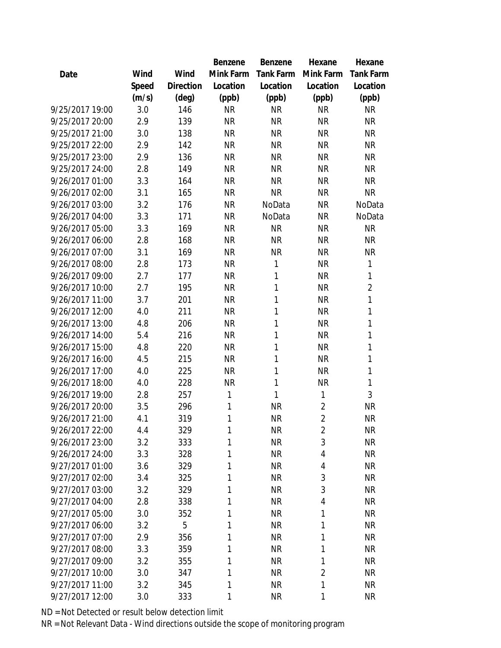|                 |       |           | Benzene   | Benzene   | Hexane         | Hexane           |
|-----------------|-------|-----------|-----------|-----------|----------------|------------------|
| Date            | Wind  | Wind      | Mink Farm | Tank Farm | Mink Farm      | <b>Tank Farm</b> |
|                 | Speed | Direction | Location  | Location  | Location       | Location         |
|                 | (m/s) | (deg)     | (ppb)     | (ppb)     | (ppb)          | (ppb)            |
| 9/25/2017 19:00 | 3.0   | 146       | <b>NR</b> | <b>NR</b> | <b>NR</b>      | <b>NR</b>        |
| 9/25/2017 20:00 | 2.9   | 139       | <b>NR</b> | <b>NR</b> | <b>NR</b>      | <b>NR</b>        |
| 9/25/2017 21:00 | 3.0   | 138       | <b>NR</b> | <b>NR</b> | <b>NR</b>      | <b>NR</b>        |
| 9/25/2017 22:00 | 2.9   | 142       | <b>NR</b> | <b>NR</b> | <b>NR</b>      | <b>NR</b>        |
| 9/25/2017 23:00 | 2.9   | 136       | <b>NR</b> | <b>NR</b> | <b>NR</b>      | <b>NR</b>        |
| 9/25/2017 24:00 | 2.8   | 149       | <b>NR</b> | <b>NR</b> | <b>NR</b>      | <b>NR</b>        |
| 9/26/2017 01:00 | 3.3   | 164       | <b>NR</b> | <b>NR</b> | <b>NR</b>      | <b>NR</b>        |
| 9/26/2017 02:00 | 3.1   | 165       | <b>NR</b> | <b>NR</b> | <b>NR</b>      | <b>NR</b>        |
| 9/26/2017 03:00 | 3.2   | 176       | <b>NR</b> | NoData    | <b>NR</b>      | NoData           |
| 9/26/2017 04:00 | 3.3   | 171       | <b>NR</b> | NoData    | <b>NR</b>      | NoData           |
| 9/26/2017 05:00 | 3.3   | 169       | <b>NR</b> | <b>NR</b> | <b>NR</b>      | <b>NR</b>        |
| 9/26/2017 06:00 | 2.8   | 168       | <b>NR</b> | <b>NR</b> | <b>NR</b>      | <b>NR</b>        |
| 9/26/2017 07:00 | 3.1   | 169       | <b>NR</b> | <b>NR</b> | <b>NR</b>      | <b>NR</b>        |
| 9/26/2017 08:00 | 2.8   | 173       | <b>NR</b> | 1         | <b>NR</b>      | $\mathbf{1}$     |
| 9/26/2017 09:00 | 2.7   | 177       | <b>NR</b> | 1         | <b>NR</b>      | 1                |
| 9/26/2017 10:00 | 2.7   | 195       | <b>NR</b> | 1         | <b>NR</b>      | $\overline{2}$   |
| 9/26/2017 11:00 | 3.7   | 201       | <b>NR</b> | 1         | <b>NR</b>      | 1                |
| 9/26/2017 12:00 | 4.0   | 211       | <b>NR</b> | 1         | <b>NR</b>      | 1                |
| 9/26/2017 13:00 | 4.8   | 206       | <b>NR</b> | 1         | <b>NR</b>      | $\mathbf{1}$     |
| 9/26/2017 14:00 | 5.4   | 216       | <b>NR</b> | 1         | <b>NR</b>      | 1                |
| 9/26/2017 15:00 | 4.8   | 220       | <b>NR</b> | 1         | <b>NR</b>      | 1                |
| 9/26/2017 16:00 | 4.5   | 215       | <b>NR</b> | 1         | <b>NR</b>      | $\mathbf{1}$     |
| 9/26/2017 17:00 | 4.0   | 225       | <b>NR</b> | 1         | <b>NR</b>      | 1                |
| 9/26/2017 18:00 | 4.0   | 228       | <b>NR</b> | 1         | <b>NR</b>      | $\mathbf{1}$     |
| 9/26/2017 19:00 | 2.8   | 257       | 1         | 1         | 1              | 3                |
| 9/26/2017 20:00 | 3.5   | 296       | 1         | <b>NR</b> | $\overline{2}$ | <b>NR</b>        |
| 9/26/2017 21:00 | 4.1   | 319       | 1         | <b>NR</b> | $\overline{2}$ | <b>NR</b>        |
| 9/26/2017 22:00 | 4.4   | 329       | 1         | NR        | $\overline{2}$ | NR               |
| 9/26/2017 23:00 | 3.2   | 333       | 1         | <b>NR</b> | 3              | <b>NR</b>        |
| 9/26/2017 24:00 | 3.3   | 328       | 1         | <b>NR</b> | 4              | <b>NR</b>        |
| 9/27/2017 01:00 | 3.6   | 329       | 1         | <b>NR</b> | 4              | <b>NR</b>        |
| 9/27/2017 02:00 | 3.4   | 325       | 1         | <b>NR</b> | 3              | <b>NR</b>        |
| 9/27/2017 03:00 | 3.2   | 329       | 1         | <b>NR</b> | 3              | <b>NR</b>        |
| 9/27/2017 04:00 | 2.8   | 338       | 1         | <b>NR</b> | 4              | <b>NR</b>        |
| 9/27/2017 05:00 | 3.0   | 352       | 1         | <b>NR</b> | 1              | <b>NR</b>        |
| 9/27/2017 06:00 | 3.2   | 5         | 1         | <b>NR</b> | 1              | <b>NR</b>        |
| 9/27/2017 07:00 | 2.9   | 356       | 1         | <b>NR</b> | 1              | <b>NR</b>        |
| 9/27/2017 08:00 | 3.3   | 359       | 1         | <b>NR</b> | 1              | <b>NR</b>        |
| 9/27/2017 09:00 | 3.2   | 355       | 1         | <b>NR</b> | 1              | <b>NR</b>        |
| 9/27/2017 10:00 | 3.0   | 347       | 1         | <b>NR</b> | $\overline{2}$ | NR               |
| 9/27/2017 11:00 | 3.2   | 345       | 1         | <b>NR</b> | 1              | <b>NR</b>        |
| 9/27/2017 12:00 | 3.0   | 333       | 1         | <b>NR</b> | 1              | <b>NR</b>        |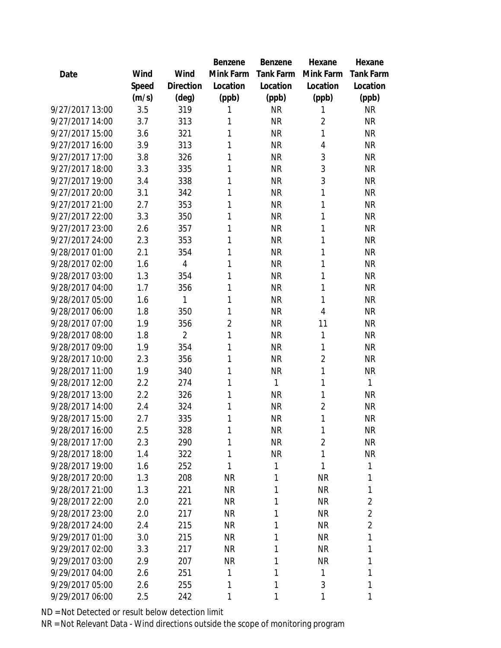|                 |       |                | Benzene        | <b>Benzene</b> | Hexane         | Hexane           |
|-----------------|-------|----------------|----------------|----------------|----------------|------------------|
| Date            | Wind  | Wind           | Mink Farm      | Tank Farm      | Mink Farm      | <b>Tank Farm</b> |
|                 | Speed | Direction      | Location       | Location       | Location       | Location         |
|                 | (m/s) | (deg)          | (ppb)          | (ppb)          | (ppb)          | (ppb)            |
| 9/27/2017 13:00 | 3.5   | 319            | 1              | <b>NR</b>      | 1              | <b>NR</b>        |
| 9/27/2017 14:00 | 3.7   | 313            | 1              | <b>NR</b>      | $\overline{2}$ | <b>NR</b>        |
| 9/27/2017 15:00 | 3.6   | 321            | 1              | <b>NR</b>      | 1              | <b>NR</b>        |
| 9/27/2017 16:00 | 3.9   | 313            | 1              | <b>NR</b>      | 4              | <b>NR</b>        |
| 9/27/2017 17:00 | 3.8   | 326            | 1              | <b>NR</b>      | 3              | <b>NR</b>        |
| 9/27/2017 18:00 | 3.3   | 335            | 1              | <b>NR</b>      | 3              | <b>NR</b>        |
| 9/27/2017 19:00 | 3.4   | 338            | 1              | <b>NR</b>      | 3              | <b>NR</b>        |
| 9/27/2017 20:00 | 3.1   | 342            | 1              | <b>NR</b>      | 1              | <b>NR</b>        |
| 9/27/2017 21:00 | 2.7   | 353            | 1              | <b>NR</b>      | 1              | <b>NR</b>        |
| 9/27/2017 22:00 | 3.3   | 350            | 1              | <b>NR</b>      | 1              | <b>NR</b>        |
| 9/27/2017 23:00 | 2.6   | 357            | 1              | <b>NR</b>      | 1              | <b>NR</b>        |
| 9/27/2017 24:00 | 2.3   | 353            | 1              | <b>NR</b>      | 1              | <b>NR</b>        |
| 9/28/2017 01:00 | 2.1   | 354            | 1              | <b>NR</b>      | 1              | <b>NR</b>        |
| 9/28/2017 02:00 | 1.6   | 4              | 1              | <b>NR</b>      | 1              | <b>NR</b>        |
| 9/28/2017 03:00 | 1.3   | 354            | 1              | <b>NR</b>      | 1              | <b>NR</b>        |
| 9/28/2017 04:00 | 1.7   | 356            | 1              | <b>NR</b>      | 1              | <b>NR</b>        |
| 9/28/2017 05:00 | 1.6   | 1              | 1              | <b>NR</b>      | 1              | <b>NR</b>        |
| 9/28/2017 06:00 | 1.8   | 350            | 1              | <b>NR</b>      | 4              | <b>NR</b>        |
| 9/28/2017 07:00 | 1.9   | 356            | $\overline{2}$ | <b>NR</b>      | 11             | <b>NR</b>        |
| 9/28/2017 08:00 | 1.8   | $\overline{2}$ | 1              | <b>NR</b>      | $\mathbf{1}$   | <b>NR</b>        |
| 9/28/2017 09:00 | 1.9   | 354            | 1              | <b>NR</b>      | $\mathbf{1}$   | <b>NR</b>        |
| 9/28/2017 10:00 | 2.3   | 356            | 1              | <b>NR</b>      | $\overline{2}$ | <b>NR</b>        |
| 9/28/2017 11:00 | 1.9   | 340            | 1              | <b>NR</b>      | 1              | <b>NR</b>        |
| 9/28/2017 12:00 | 2.2   | 274            | 1              | 1              | 1              | 1                |
| 9/28/2017 13:00 | 2.2   | 326            | 1              | <b>NR</b>      | 1              | <b>NR</b>        |
| 9/28/2017 14:00 | 2.4   | 324            | 1              | <b>NR</b>      | $\overline{2}$ | <b>NR</b>        |
| 9/28/2017 15:00 | 2.7   | 335            | 1              | <b>NR</b>      | 1              | <b>NR</b>        |
| 9/28/2017 16:00 | 2.5   | 328            | 1              | <b>NR</b>      | 1              | NR               |
| 9/28/2017 17:00 | 2.3   | 290            | 1              | <b>NR</b>      | $\overline{2}$ | <b>NR</b>        |
| 9/28/2017 18:00 | 1.4   | 322            | 1              | <b>NR</b>      | 1              | <b>NR</b>        |
| 9/28/2017 19:00 | 1.6   | 252            | 1              | 1              | 1              | 1                |
| 9/28/2017 20:00 | 1.3   | 208            | <b>NR</b>      | 1              | <b>NR</b>      | 1                |
| 9/28/2017 21:00 | 1.3   | 221            | <b>NR</b>      | 1              | <b>NR</b>      | 1                |
| 9/28/2017 22:00 | 2.0   | 221            | <b>NR</b>      | 1              | <b>NR</b>      | $\overline{2}$   |
| 9/28/2017 23:00 | 2.0   | 217            | <b>NR</b>      | 1              | <b>NR</b>      | $\overline{2}$   |
| 9/28/2017 24:00 | 2.4   | 215            | <b>NR</b>      | 1              | <b>NR</b>      | $\overline{2}$   |
| 9/29/2017 01:00 | 3.0   | 215            | <b>NR</b>      | 1              | <b>NR</b>      | 1                |
| 9/29/2017 02:00 | 3.3   | 217            | <b>NR</b>      | 1              | <b>NR</b>      | 1                |
| 9/29/2017 03:00 | 2.9   | 207            | <b>NR</b>      | 1              | <b>NR</b>      | 1                |
| 9/29/2017 04:00 | 2.6   | 251            | 1              | 1              | 1              | 1                |
| 9/29/2017 05:00 | 2.6   | 255            | 1              | 1              | 3              | 1                |
| 9/29/2017 06:00 | 2.5   | 242            | 1              | 1              | 1              | 1                |